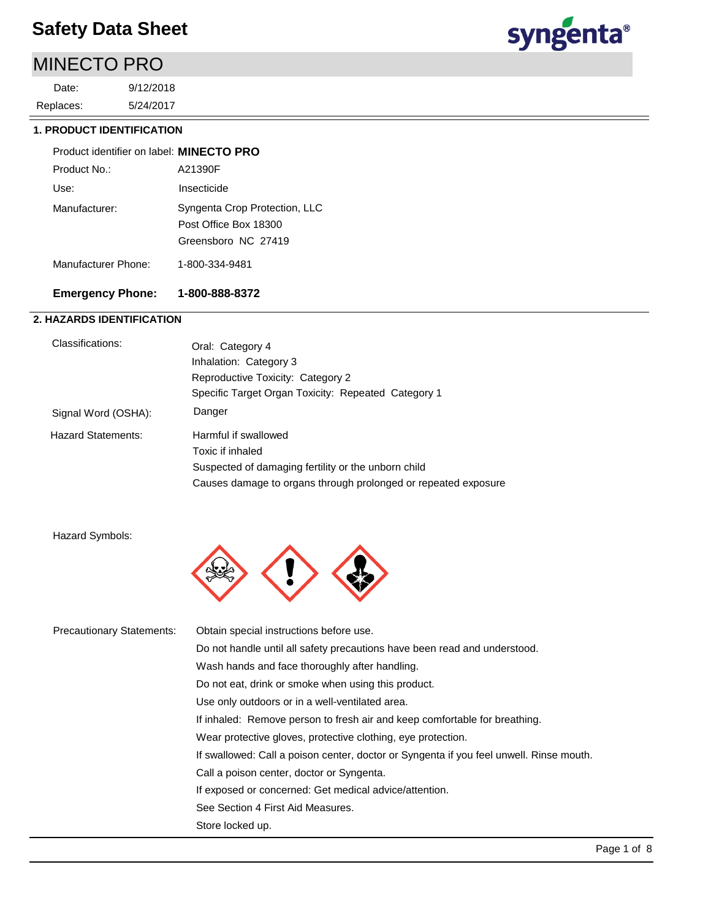### MINECTO PRO

5/24/2017 9/12/2018 Replaces: Date:



### **1. PRODUCT IDENTIFICATION**

| Product identifier on label: MINECTO PRO |                                                                               |
|------------------------------------------|-------------------------------------------------------------------------------|
| Product No.:                             | A21390F                                                                       |
| Use:                                     | Insecticide                                                                   |
| Manufacturer:                            | Syngenta Crop Protection, LLC<br>Post Office Box 18300<br>Greensboro NC 27419 |
| Manufacturer Phone:                      | 1-800-334-9481                                                                |

### **Emergency Phone: 1-800-888-8372**

### **2. HAZARDS IDENTIFICATION**

| Classifications:          | Oral: Category 4                                               |
|---------------------------|----------------------------------------------------------------|
|                           | Inhalation: Category 3                                         |
|                           | Reproductive Toxicity: Category 2                              |
|                           | Specific Target Organ Toxicity: Repeated Category 1            |
| Signal Word (OSHA):       | Danger                                                         |
| <b>Hazard Statements:</b> | Harmful if swallowed                                           |
|                           | Toxic if inhaled                                               |
|                           | Suspected of damaging fertility or the unborn child            |
|                           | Causes damage to organs through prolonged or repeated exposure |

Hazard Symbols:



| <b>Precautionary Statements:</b> | Obtain special instructions before use.                                                 |
|----------------------------------|-----------------------------------------------------------------------------------------|
|                                  | Do not handle until all safety precautions have been read and understood.               |
|                                  | Wash hands and face thoroughly after handling.                                          |
|                                  | Do not eat, drink or smoke when using this product.                                     |
|                                  | Use only outdoors or in a well-ventilated area.                                         |
|                                  | If inhaled: Remove person to fresh air and keep comfortable for breathing.              |
|                                  | Wear protective gloves, protective clothing, eye protection.                            |
|                                  | If swallowed: Call a poison center, doctor or Syngenta if you feel unwell. Rinse mouth. |
|                                  | Call a poison center, doctor or Syngenta.                                               |
|                                  | If exposed or concerned: Get medical advice/attention.                                  |
|                                  | See Section 4 First Aid Measures.                                                       |
|                                  | Store locked up.                                                                        |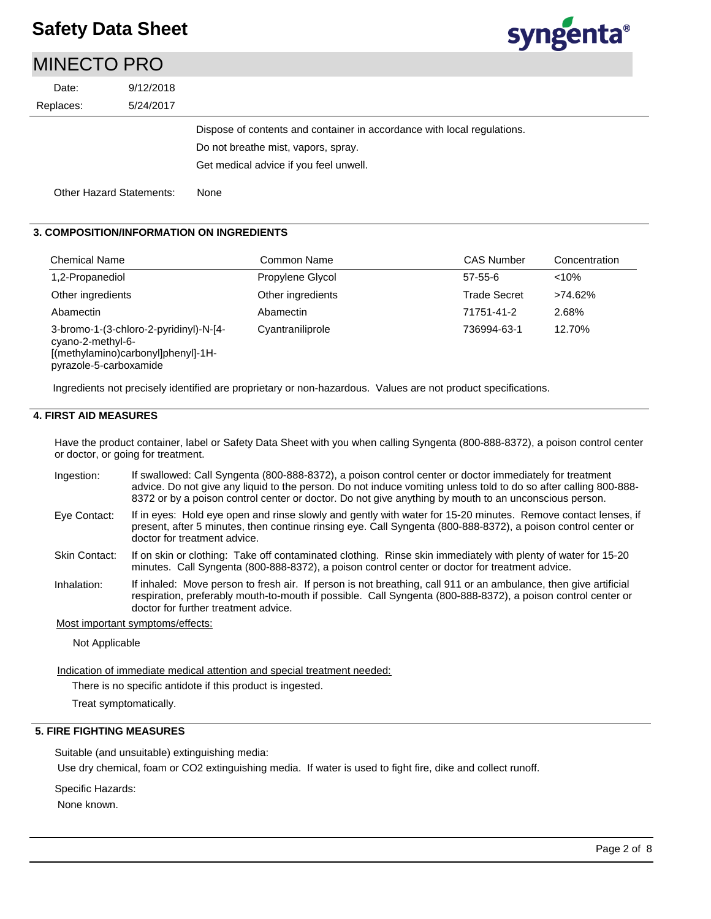MINIFOTO PRO

# syngenta®

| MINEUTO PRO |                          |                                                                         |
|-------------|--------------------------|-------------------------------------------------------------------------|
| Date:       | 9/12/2018                |                                                                         |
| Replaces:   | 5/24/2017                |                                                                         |
|             |                          | Dispose of contents and container in accordance with local regulations. |
|             |                          | Do not breathe mist, vapors, spray.                                     |
|             |                          | Get medical advice if you feel unwell.                                  |
|             | Other Hazard Statements: | None                                                                    |

### **3. COMPOSITION/INFORMATION ON INGREDIENTS**

| <b>Chemical Name</b>                                                                                                        | Common Name       | <b>CAS Number</b>   | Concentration |
|-----------------------------------------------------------------------------------------------------------------------------|-------------------|---------------------|---------------|
| 1,2-Propanediol                                                                                                             | Propylene Glycol  | $57 - 55 - 6$       | < 10%         |
| Other ingredients                                                                                                           | Other ingredients | <b>Trade Secret</b> | >74.62%       |
| Abamectin                                                                                                                   | Abamectin         | 71751-41-2          | 2.68%         |
| 3-bromo-1-(3-chloro-2-pyridinyl)-N-[4-<br>cyano-2-methyl-6-<br>[(methylamino)carbonyl]phenyl]-1H-<br>pyrazole-5-carboxamide | Cyantraniliprole  | 736994-63-1         | 12.70%        |

Ingredients not precisely identified are proprietary or non-hazardous. Values are not product specifications.

### **4. FIRST AID MEASURES**

Have the product container, label or Safety Data Sheet with you when calling Syngenta (800-888-8372), a poison control center or doctor, or going for treatment.

- If swallowed: Call Syngenta (800-888-8372), a poison control center or doctor immediately for treatment advice. Do not give any liquid to the person. Do not induce vomiting unless told to do so after calling 800-888- 8372 or by a poison control center or doctor. Do not give anything by mouth to an unconscious person. Ingestion:
- If in eyes: Hold eye open and rinse slowly and gently with water for 15-20 minutes. Remove contact lenses, if present, after 5 minutes, then continue rinsing eye. Call Syngenta (800-888-8372), a poison control center or doctor for treatment advice. Eye Contact:
- If on skin or clothing: Take off contaminated clothing. Rinse skin immediately with plenty of water for 15-20 minutes. Call Syngenta (800-888-8372), a poison control center or doctor for treatment advice. Skin Contact:
- If inhaled: Move person to fresh air. If person is not breathing, call 911 or an ambulance, then give artificial respiration, preferably mouth-to-mouth if possible. Call Syngenta (800-888-8372), a poison control center or doctor for further treatment advice. Inhalation:

#### Most important symptoms/effects:

Not Applicable

Indication of immediate medical attention and special treatment needed:

There is no specific antidote if this product is ingested.

Treat symptomatically.

### **5. FIRE FIGHTING MEASURES**

Suitable (and unsuitable) extinguishing media:

Use dry chemical, foam or CO2 extinguishing media. If water is used to fight fire, dike and collect runoff.

Specific Hazards:

None known.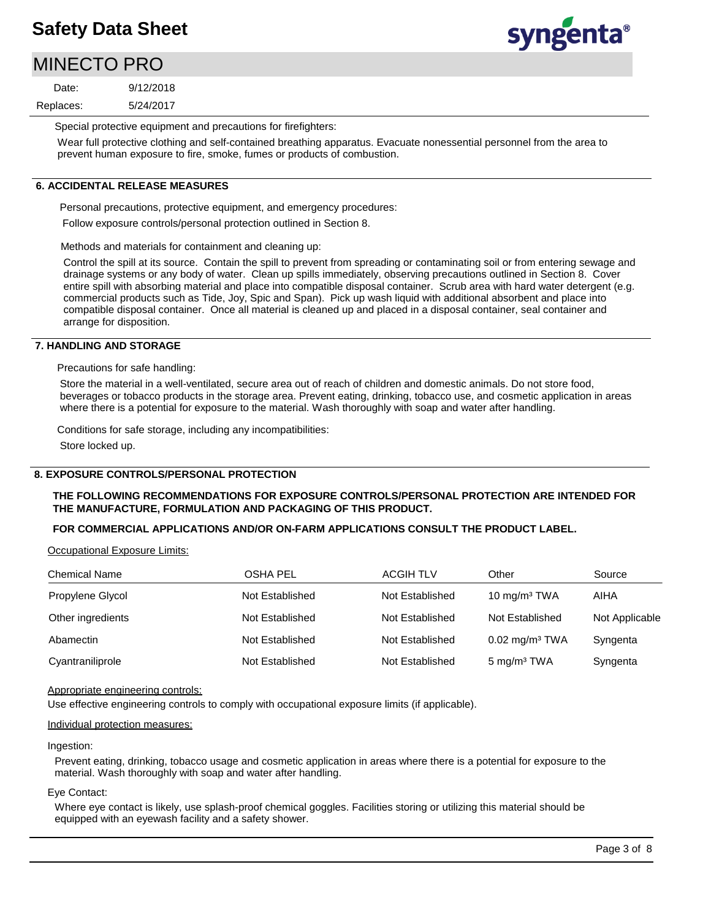## MINECTO PRO

5/24/2017 9/12/2018 Replaces: Date:



Special protective equipment and precautions for firefighters:

Wear full protective clothing and self-contained breathing apparatus. Evacuate nonessential personnel from the area to prevent human exposure to fire, smoke, fumes or products of combustion.

### **6. ACCIDENTAL RELEASE MEASURES**

Personal precautions, protective equipment, and emergency procedures:

Follow exposure controls/personal protection outlined in Section 8.

Methods and materials for containment and cleaning up:

Control the spill at its source. Contain the spill to prevent from spreading or contaminating soil or from entering sewage and drainage systems or any body of water. Clean up spills immediately, observing precautions outlined in Section 8. Cover entire spill with absorbing material and place into compatible disposal container. Scrub area with hard water detergent (e.g. commercial products such as Tide, Joy, Spic and Span). Pick up wash liquid with additional absorbent and place into compatible disposal container. Once all material is cleaned up and placed in a disposal container, seal container and arrange for disposition.

### **7. HANDLING AND STORAGE**

Precautions for safe handling:

Store the material in a well-ventilated, secure area out of reach of children and domestic animals. Do not store food, beverages or tobacco products in the storage area. Prevent eating, drinking, tobacco use, and cosmetic application in areas where there is a potential for exposure to the material. Wash thoroughly with soap and water after handling.

Conditions for safe storage, including any incompatibilities:

Store locked up.

### **8. EXPOSURE CONTROLS/PERSONAL PROTECTION**

### **THE FOLLOWING RECOMMENDATIONS FOR EXPOSURE CONTROLS/PERSONAL PROTECTION ARE INTENDED FOR THE MANUFACTURE, FORMULATION AND PACKAGING OF THIS PRODUCT.**

### **FOR COMMERCIAL APPLICATIONS AND/OR ON-FARM APPLICATIONS CONSULT THE PRODUCT LABEL.**

Occupational Exposure Limits:

| <b>Chemical Name</b> | <b>OSHA PEL</b> | <b>ACGIH TLV</b> | Other                        | Source         |
|----------------------|-----------------|------------------|------------------------------|----------------|
| Propylene Glycol     | Not Established | Not Established  | 10 mg/m <sup>3</sup> TWA     | AIHA           |
| Other ingredients    | Not Established | Not Established  | Not Established              | Not Applicable |
| Abamectin            | Not Established | Not Established  | $0.02$ mg/m <sup>3</sup> TWA | Syngenta       |
| Cyantraniliprole     | Not Established | Not Established  | 5 mg/m <sup>3</sup> TWA      | Syngenta       |

### Appropriate engineering controls:

Use effective engineering controls to comply with occupational exposure limits (if applicable).

### Individual protection measures:

#### Ingestion:

Prevent eating, drinking, tobacco usage and cosmetic application in areas where there is a potential for exposure to the material. Wash thoroughly with soap and water after handling.

### Eye Contact:

Where eye contact is likely, use splash-proof chemical goggles. Facilities storing or utilizing this material should be equipped with an eyewash facility and a safety shower.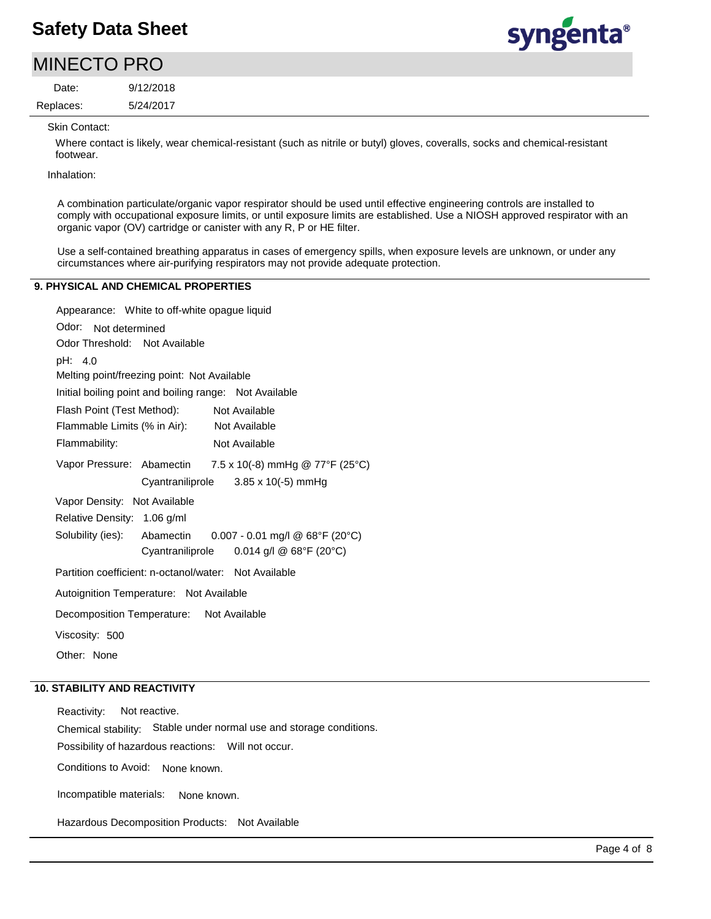## syngenta®

| <b>MINECTO PRO</b> |           |  |
|--------------------|-----------|--|
| Date:              | 9/12/2018 |  |

Skin Contact:

Replaces:

Where contact is likely, wear chemical-resistant (such as nitrile or butyl) gloves, coveralls, socks and chemical-resistant footwear.

Inhalation:

A combination particulate/organic vapor respirator should be used until effective engineering controls are installed to comply with occupational exposure limits, or until exposure limits are established. Use a NIOSH approved respirator with an organic vapor (OV) cartridge or canister with any R, P or HE filter.

Use a self-contained breathing apparatus in cases of emergency spills, when exposure levels are unknown, or under any circumstances where air-purifying respirators may not provide adequate protection.

### **9. PHYSICAL AND CHEMICAL PROPERTIES**

5/24/2017

| Appearance: White to off-white opague liquid                     |
|------------------------------------------------------------------|
| Odor: Not determined                                             |
| Odor Threshold: Not Available                                    |
| pH: 4.0                                                          |
| Melting point/freezing point: Not Available                      |
| Initial boiling point and boiling range: Not Available           |
| Flash Point (Test Method):<br>Not Available                      |
| Flammable Limits (% in Air): Not Available                       |
| Not Available<br>Flammability:                                   |
| 7.5 x 10(-8) mmHg @ 77°F (25°C)<br>Vapor Pressure: Abamectin     |
| Cyantraniliprole<br>$3.85 \times 10(-5)$ mmHg                    |
| Vapor Density: Not Available                                     |
| Relative Density: 1.06 g/ml                                      |
| Solubility (ies): Abamectin<br>$0.007 - 0.01$ mg/l @ 68°F (20°C) |
| $0.014$ g/l @ 68°F (20°C)<br>Cyantraniliprole                    |
| Partition coefficient: n-octanol/water: Not Available            |
| Autoignition Temperature: Not Available                          |
| Decomposition Temperature: Not Available                         |
| Viscosity: 500                                                   |
| Other: None                                                      |

### **10. STABILITY AND REACTIVITY**

Incompatible materials: Possibility of hazardous reactions: Will not occur. Chemical stability: Stable under normal use and storage conditions. Hazardous Decomposition Products: Not Available Reactivity: Not reactive. Conditions to Avoid: None known. None known.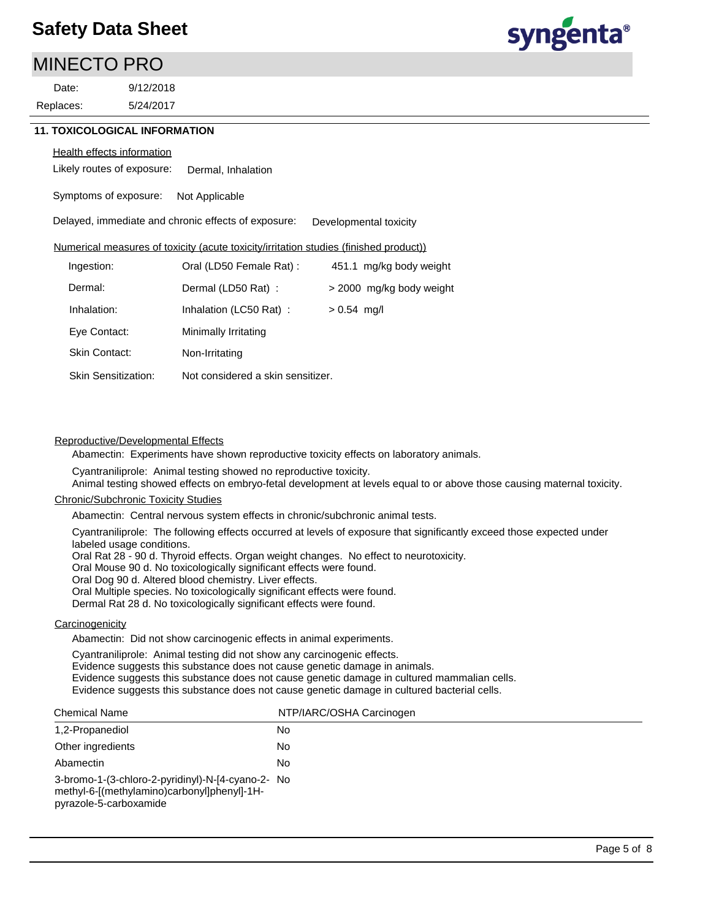### MINECTO PRO

5/24/2017 9/12/2018 Replaces: Date:

syngenta®

### **11. TOXICOLOGICAL INFORMATION**

#### Health effects information

Likely routes of exposure: Dermal, Inhalation

Symptoms of exposure: Not Applicable

Delayed, immediate and chronic effects of exposure: Developmental toxicity

Numerical measures of toxicity (acute toxicity/irritation studies (finished product))

| Ingestion:                 | Oral (LD50 Female Rat):           | 451.1 mg/kg body weight  |
|----------------------------|-----------------------------------|--------------------------|
| Dermal:                    | Dermal (LD50 Rat):                | > 2000 mg/kg body weight |
| Inhalation:                | Inhalation (LC50 Rat):            | $> 0.54$ mg/l            |
| Eye Contact:               | Minimally Irritating              |                          |
| Skin Contact:              | Non-Irritating                    |                          |
| <b>Skin Sensitization:</b> | Not considered a skin sensitizer. |                          |
|                            |                                   |                          |

### Reproductive/Developmental Effects

Abamectin: Experiments have shown reproductive toxicity effects on laboratory animals.

Cyantraniliprole: Animal testing showed no reproductive toxicity.

Animal testing showed effects on embryo-fetal development at levels equal to or above those causing maternal toxicity.

### Chronic/Subchronic Toxicity Studies

Abamectin: Central nervous system effects in chronic/subchronic animal tests.

Cyantraniliprole: The following effects occurred at levels of exposure that significantly exceed those expected under labeled usage conditions.

Oral Rat 28 - 90 d. Thyroid effects. Organ weight changes. No effect to neurotoxicity.

Oral Mouse 90 d. No toxicologically significant effects were found.

Oral Dog 90 d. Altered blood chemistry. Liver effects.

Oral Multiple species. No toxicologically significant effects were found.

Dermal Rat 28 d. No toxicologically significant effects were found.

### **Carcinogenicity**

Abamectin: Did not show carcinogenic effects in animal experiments.

Cyantraniliprole: Animal testing did not show any carcinogenic effects.

Evidence suggests this substance does not cause genetic damage in animals.

Evidence suggests this substance does not cause genetic damage in cultured mammalian cells.

Evidence suggests this substance does not cause genetic damage in cultured bacterial cells.

| <b>Chemical Name</b>                                                                                                       | NTP/IARC/OSHA Carcinogen |
|----------------------------------------------------------------------------------------------------------------------------|--------------------------|
| 1,2-Propanediol                                                                                                            | No                       |
| Other ingredients                                                                                                          | No                       |
| Abamectin                                                                                                                  | No                       |
| 3-bromo-1-(3-chloro-2-pyridinyl)-N-[4-cyano-2- No<br>methyl-6-[(methylamino)carbonyl]phenyl]-1H-<br>pyrazole-5-carboxamide |                          |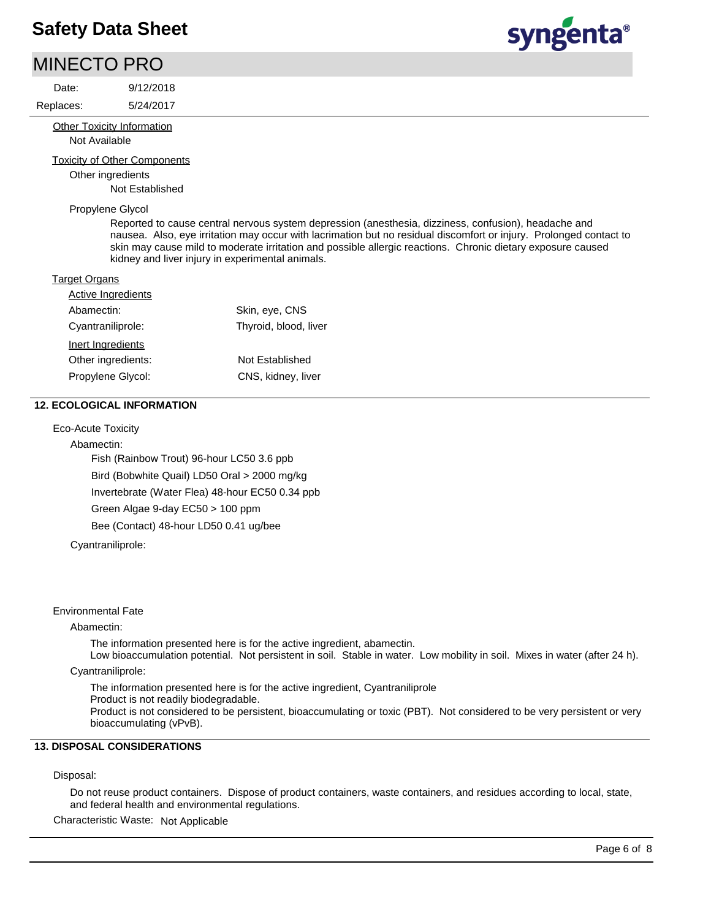### MINECTO PRO

Date:

### 9/12/2018

5/24/2017 Replaces:

> **Other Toxicity Information** Not Available

Toxicity of Other Components

Other ingredients

Not Established

#### Propylene Glycol

Reported to cause central nervous system depression (anesthesia, dizziness, confusion), headache and nausea. Also, eye irritation may occur with lacrimation but no residual discomfort or injury. Prolonged contact to skin may cause mild to moderate irritation and possible allergic reactions. Chronic dietary exposure caused kidney and liver injury in experimental animals.

### **Target Organs**

| Active Ingredients |                       |
|--------------------|-----------------------|
| Abamectin:         | Skin, eye, CNS        |
| Cyantraniliprole:  | Thyroid, blood, liver |
| Inert Ingredients  |                       |
| Other ingredients: | Not Established       |
| Propylene Glycol:  | CNS, kidney, liver    |

### **12. ECOLOGICAL INFORMATION**

Eco-Acute Toxicity

Abamectin:

Fish (Rainbow Trout) 96-hour LC50 3.6 ppb Bird (Bobwhite Quail) LD50 Oral > 2000 mg/kg

Invertebrate (Water Flea) 48-hour EC50 0.34 ppb

Green Algae 9-day EC50 > 100 ppm

Bee (Contact) 48-hour LD50 0.41 ug/bee

Cyantraniliprole:

### Environmental Fate

#### Abamectin:

The information presented here is for the active ingredient, abamectin.

Low bioaccumulation potential. Not persistent in soil. Stable in water. Low mobility in soil. Mixes in water (after 24 h). Cyantraniliprole:

The information presented here is for the active ingredient, Cyantraniliprole

Product is not readily biodegradable.

Product is not considered to be persistent, bioaccumulating or toxic (PBT). Not considered to be very persistent or very bioaccumulating (vPvB).

### **13. DISPOSAL CONSIDERATIONS**

### Disposal:

Do not reuse product containers. Dispose of product containers, waste containers, and residues according to local, state, and federal health and environmental regulations.

Characteristic Waste: Not Applicable

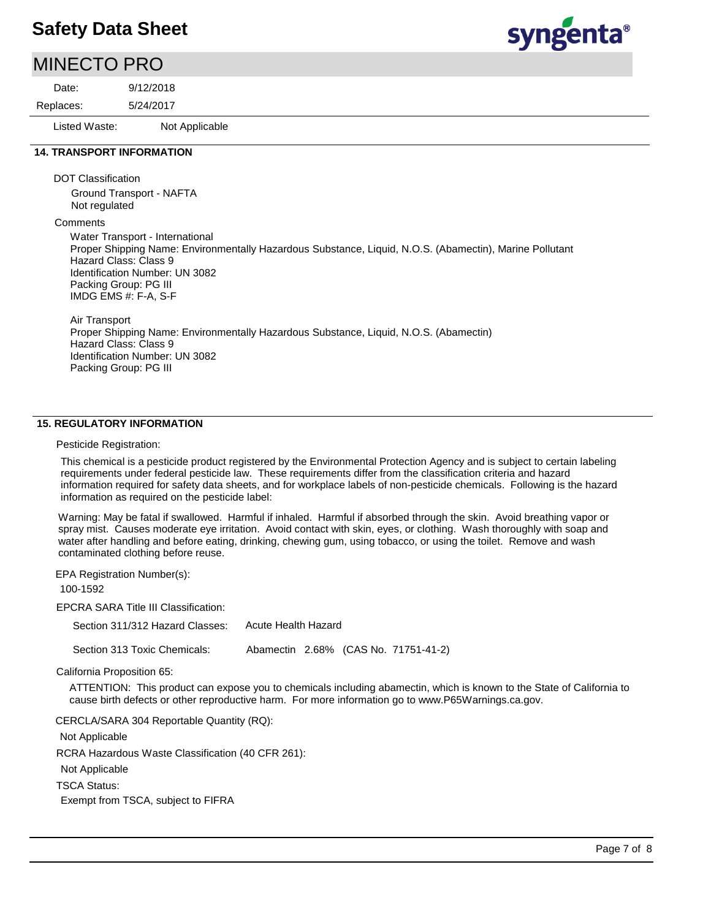### MINECTO PRO

5/24/2017 9/12/2018 Replaces: Date:

Listed Waste: Not Applicable

### **14. TRANSPORT INFORMATION**

DOT Classification

Ground Transport - NAFTA Not regulated

**Comments** 

Water Transport - International Proper Shipping Name: Environmentally Hazardous Substance, Liquid, N.O.S. (Abamectin), Marine Pollutant Hazard Class: Class 9 Identification Number: UN 3082 Packing Group: PG III IMDG EMS #: F-A, S-F

Air Transport Proper Shipping Name: Environmentally Hazardous Substance, Liquid, N.O.S. (Abamectin) Hazard Class: Class 9 Identification Number: UN 3082 Packing Group: PG III

### **15. REGULATORY INFORMATION**

#### Pesticide Registration:

This chemical is a pesticide product registered by the Environmental Protection Agency and is subject to certain labeling requirements under federal pesticide law. These requirements differ from the classification criteria and hazard information required for safety data sheets, and for workplace labels of non-pesticide chemicals. Following is the hazard information as required on the pesticide label:

Warning: May be fatal if swallowed. Harmful if inhaled. Harmful if absorbed through the skin. Avoid breathing vapor or spray mist. Causes moderate eye irritation. Avoid contact with skin, eyes, or clothing. Wash thoroughly with soap and water after handling and before eating, drinking, chewing gum, using tobacco, or using the toilet. Remove and wash contaminated clothing before reuse.

EPA Registration Number(s):

100-1592

EPCRA SARA Title III Classification:

Section 311/312 Hazard Classes: Acute Health Hazard

Section 313 Toxic Chemicals: Abamectin 2.68% (CAS No. 71751-41-2)

California Proposition 65:

ATTENTION: This product can expose you to chemicals including abamectin, which is known to the State of California to cause birth defects or other reproductive harm. For more information go to www.P65Warnings.ca.gov.

CERCLA/SARA 304 Reportable Quantity (RQ):

Not Applicable

RCRA Hazardous Waste Classification (40 CFR 261):

Not Applicable

TSCA Status:

Exempt from TSCA, subject to FIFRA

syngenta®